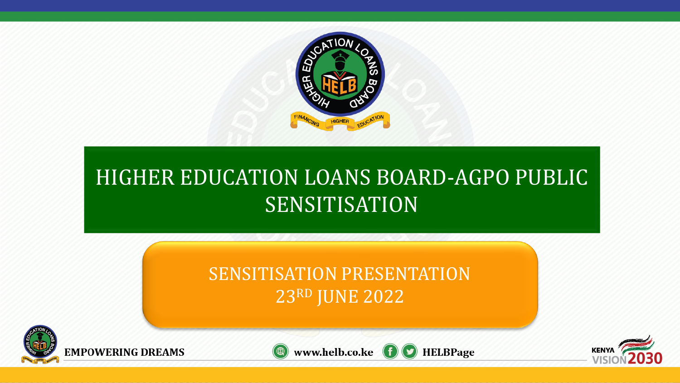

# HIGHER EDUCATION LOANS BOARD-AGPO PUBLIC SENSITISATION

## SENSITISATION PRESENTATION 23RD JUNE 2022







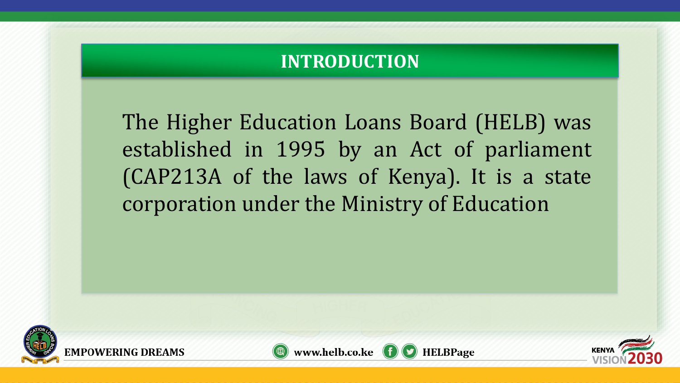### **INTRODUCTION**

The Higher Education Loans Board (HELB) was established in 1995 by an Act of parliament (CAP213A of the laws of Kenya). It is a state corporation under the Ministry of Education





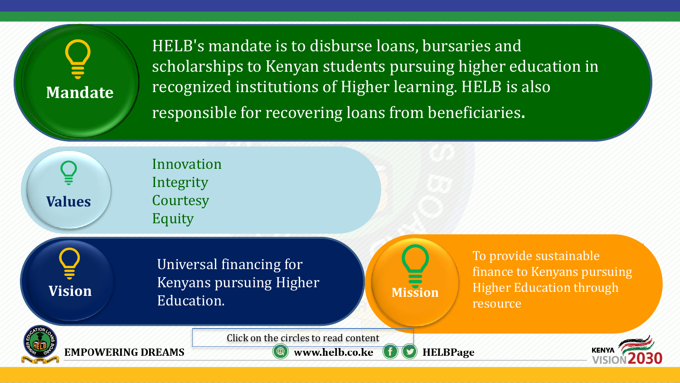**Mandate**

**Values**

**Vision**

HELB's mandate is to disburse loans, bursaries and scholarships to Kenyan students pursuing higher education in recognized institutions of Higher learning. HELB is also responsible for recovering loans from beneficiaries.

Innovation Integrity **Courtesy** Equity

> Universal financing for Kenyans pursuing Higher Education.

**Mission**

To provide sustainable finance to Kenyans pursuing Higher Education through resource



**IMPOWERING DREAMS** 

Click on the circles to read content

www.helb.co.ke **HELBPage** 

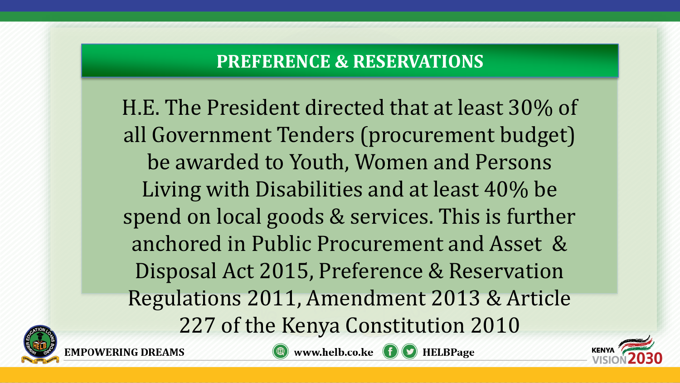### **PREFERENCE & RESERVATIONS**

H.E. The President directed that at least 30% of all Government Tenders (procurement budget) be awarded to Youth, Women and Persons Living with Disabilities and at least 40% be spend on local goods & services. This is further anchored in Public Procurement and Asset & Disposal Act 2015, Preference & Reservation Regulations 2011, Amendment 2013 & Article 227 of the Kenya Constitution 2010





www.helb.co.ke **f** HELBPage

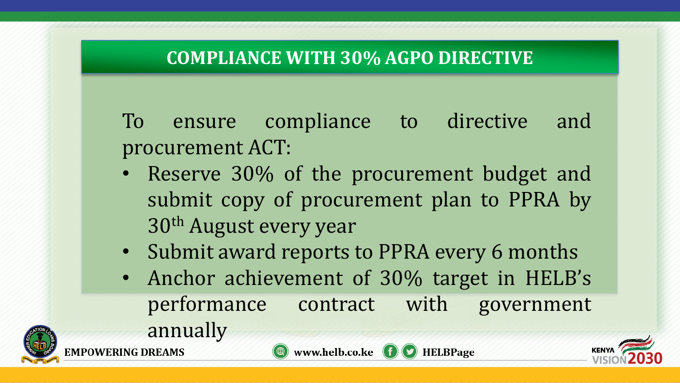## **COMPLIANCE WITH 30% AGPO DIRECTIVE**

To ensure compliance to directive and procurement ACT:

- Reserve 30% of the procurement budget and submit copy of procurement plan to PPRA by 30th August every year
- Submit award reports to PPRA every 6 months
- Anchor achievement of 30% target in HELB's performance contract with government annually





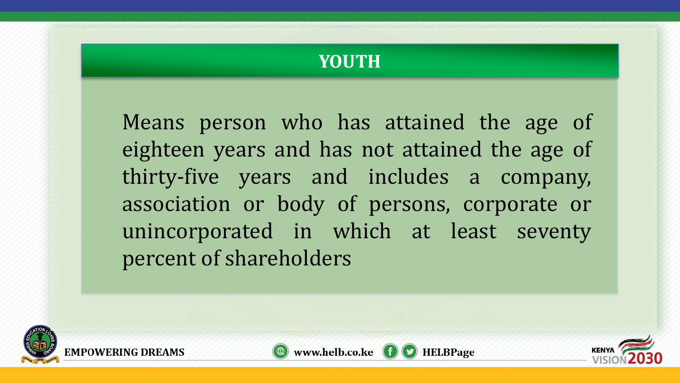### **YOUTH**

Means person who has attained the age of eighteen years and has not attained the age of thirty-five years and includes a company, association or body of persons, corporate or unincorporated in which at least seventy percent of shareholders





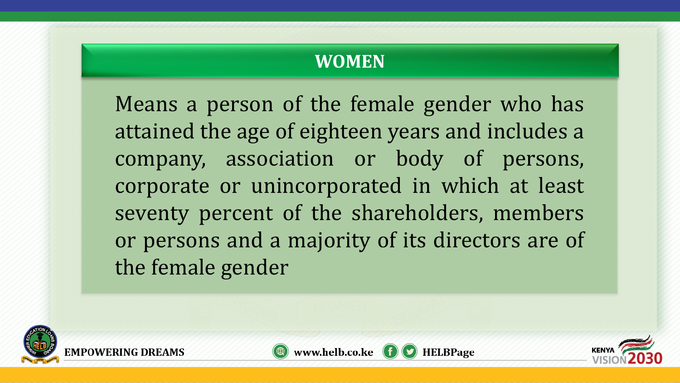## **WOMEN**

Means a person of the female gender who has attained the age of eighteen years and includes a company, association or body of persons, corporate or unincorporated in which at least seventy percent of the shareholders, members or persons and a majority of its directors are of the female gender





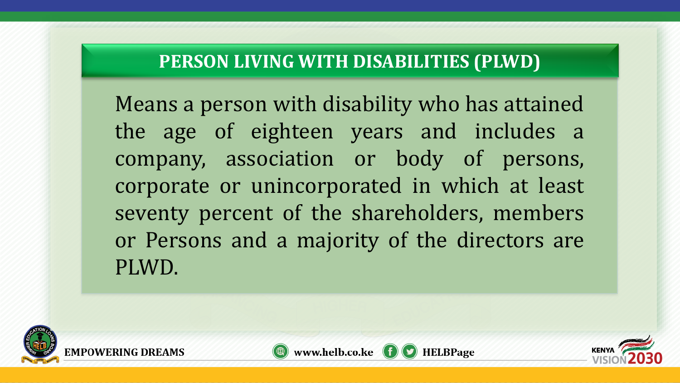## **PERSON LIVING WITH DISABILITIES (PLWD)**

Means a person with disability who has attained the age of eighteen years and includes a company, association or body of persons, corporate or unincorporated in which at least seventy percent of the shareholders, members or Persons and a majority of the directors are PLWD.





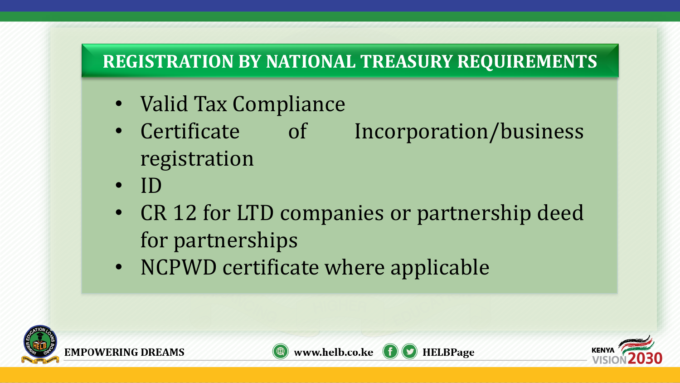## **REGISTRATION BY NATIONAL TREASURY REQUIREMENTS**

- Valid Tax Compliance
- Certificate of Incorporation/business registration
- ID
- CR 12 for LTD companies or partnership deed for partnerships
- NCPWD certificate where applicable





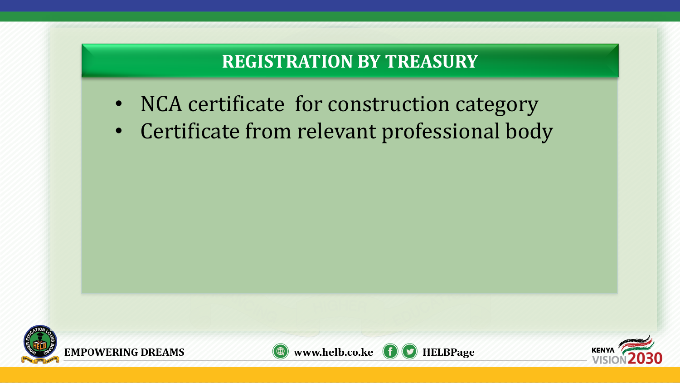## **REGISTRATION BY TREASURY**

- NCA certificate for construction category
- Certificate from relevant professional body





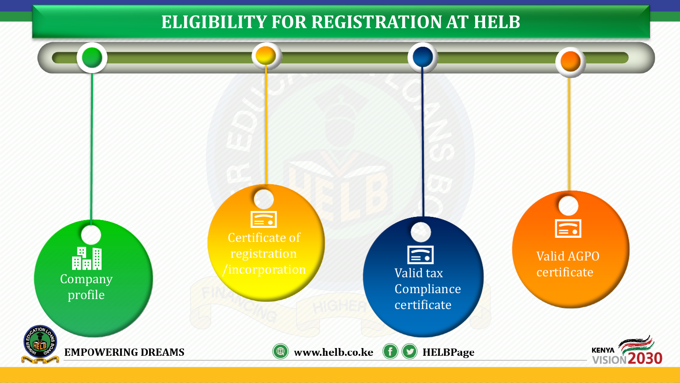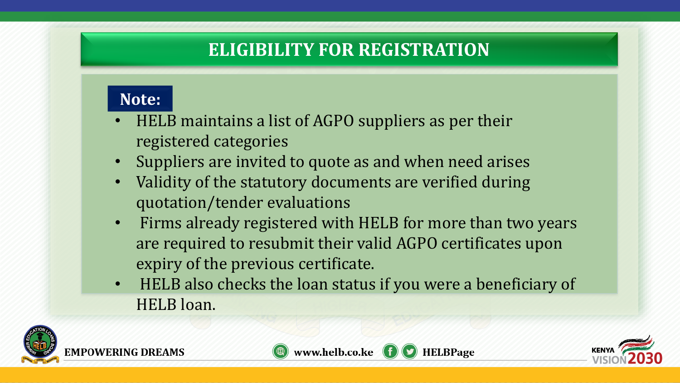## **ELIGIBILITY FOR REGISTRATION**

### **Note:**

- HELB maintains a list of AGPO suppliers as per their registered categories
- Suppliers are invited to quote as and when need arises
- Validity of the statutory documents are verified during quotation/tender evaluations
- Firms already registered with HELB for more than two years are required to resubmit their valid AGPO certificates upon expiry of the previous certificate.
- HELB also checks the loan status if you were a beneficiary of HELB loan.





**HELBPage** 

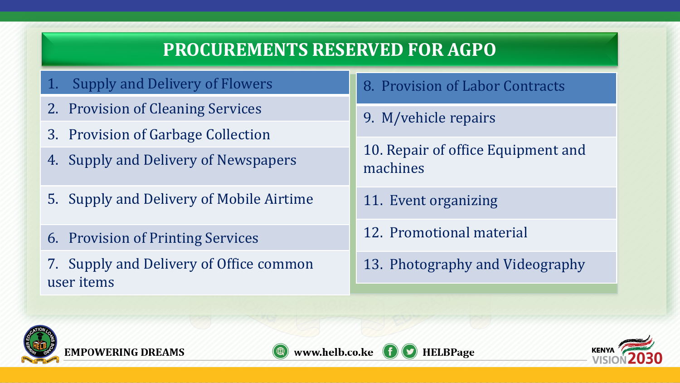## **PROCUREMENTS RESERVED FOR AGPO**

- Supply and Delivery of Flowers
- 2. Provision of Cleaning Services
- 3. Provision of Garbage Collection
- 4. Supply and Delivery of Newspapers
- 5. Supply and Delivery of Mobile Airtime
- 6. Provision of Printing Services
- 7. Supply and Delivery of Office common user items

#### 8. Provision of Labor Contracts

9. M/vehicle repairs

10. Repair of office Equipment and machines

- 11. Event organizing
- 12. Promotional material

**HELBPage** 

13. Photography and Videography





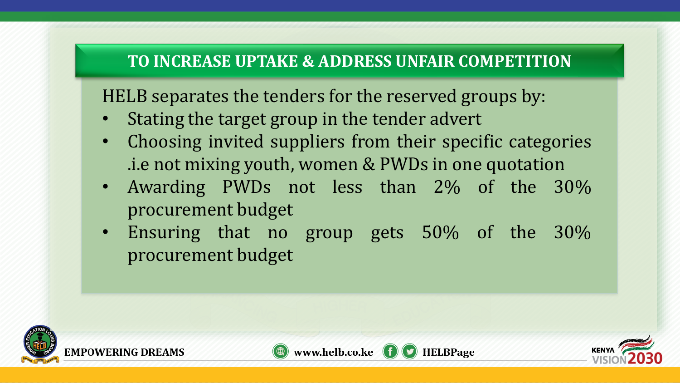#### **TO INCREASE UPTAKE & ADDRESS UNFAIR COMPETITION**

HELB separates the tenders for the reserved groups by:

- Stating the target group in the tender advert
- Choosing invited suppliers from their specific categories .i.e not mixing youth, women & PWDs in one quotation
- Awarding PWDs not less than 2% of the 30% procurement budget
- Ensuring that no group gets 50% of the 30% procurement budget





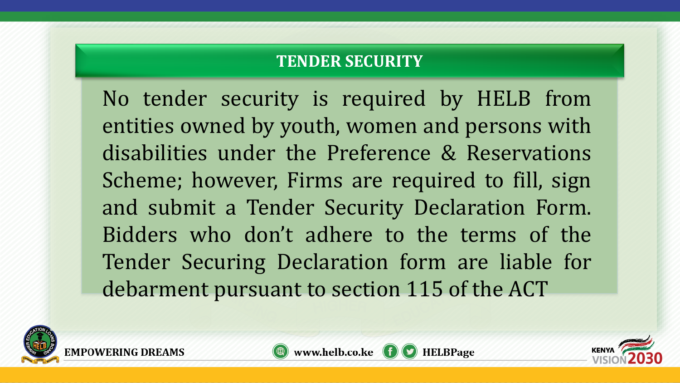#### **TENDER SECURITY**

No tender security is required by HELB from entities owned by youth, women and persons with disabilities under the Preference & Reservations Scheme; however, Firms are required to fill, sign and submit a Tender Security Declaration Form. Bidders who don't adhere to the terms of the Tender Securing Declaration form are liable for debarment pursuant to section 115 of the ACT





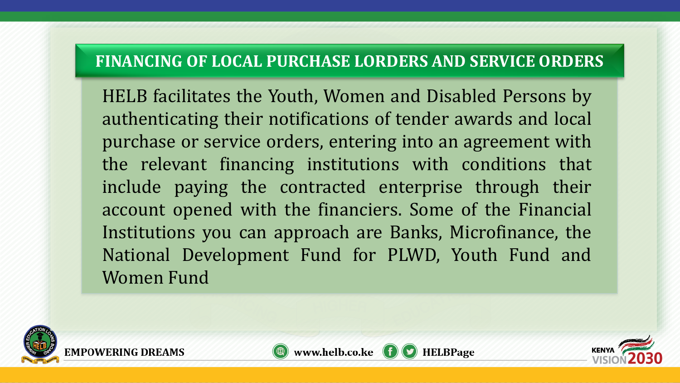#### **FINANCING OF LOCAL PURCHASE LORDERS AND SERVICE ORDERS**

HELB facilitates the Youth, Women and Disabled Persons by authenticating their notifications of tender awards and local purchase or service orders, entering into an agreement with the relevant financing institutions with conditions that include paying the contracted enterprise through their account opened with the financiers. Some of the Financial Institutions you can approach are Banks, Microfinance, the National Development Fund for PLWD, Youth Fund and Women Fund





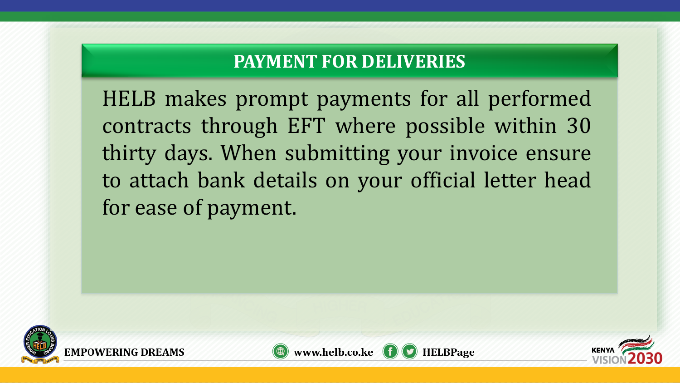## **PAYMENT FOR DELIVERIES**

HELB makes prompt payments for all performed contracts through EFT where possible within 30 thirty days. When submitting your invoice ensure to attach bank details on your official letter head for ease of payment.





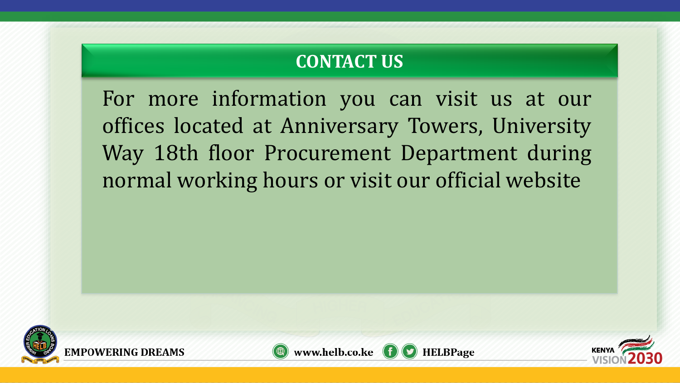## **CONTACT US**

For more information you can visit us at our offices located at Anniversary Towers, University Way 18th floor Procurement Department during normal working hours or visit our official website